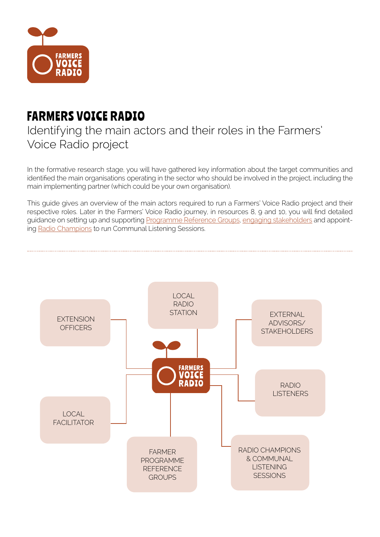

## FARMERS VOICE RADIO

## Identifying the main actors and their roles in the Farmers' Voice Radio project

In the formative research stage, you will have gathered key information about the target communities and identified the main organisations operating in the sector who should be involved in the project, including the main implementing partner (which could be your own organisation).

This guide gives an overview of the main actors required to run a Farmers' Voice Radio project and their respective roles. Later in the Farmers' Voice Radio journey, in resources 8, 9 and 10, you will find detailed guidance on setting up and supporting [Programme Reference Groups](https://www.farmersvoiceradio.org/8-establishing-programme-reference-groups), [engaging stakeholders](https://www.farmersvoiceradio.org/9-engaging-stakeholders) and appointing [Radio Champions](https://www.farmersvoiceradio.org/10-engaging-listeners) to run Communal Listening Sessions.

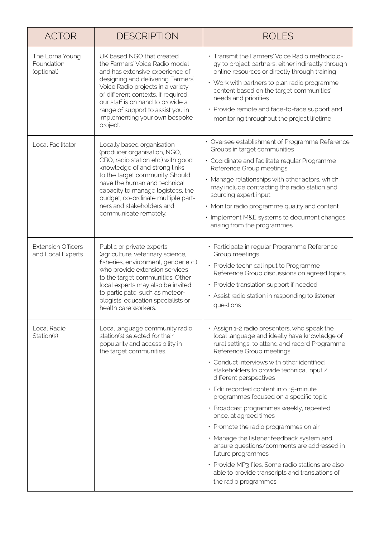| <b>ACTOR</b>                                   | <b>DESCRIPTION</b>                                                                                                                                                                                                                                                                                                                     | <b>ROLES</b>                                                                                                                                                                                                                                                                                                                                                                                                                                                                                                                                                                                                                                                                                                                                     |
|------------------------------------------------|----------------------------------------------------------------------------------------------------------------------------------------------------------------------------------------------------------------------------------------------------------------------------------------------------------------------------------------|--------------------------------------------------------------------------------------------------------------------------------------------------------------------------------------------------------------------------------------------------------------------------------------------------------------------------------------------------------------------------------------------------------------------------------------------------------------------------------------------------------------------------------------------------------------------------------------------------------------------------------------------------------------------------------------------------------------------------------------------------|
| The Lorna Young<br>Foundation<br>(optional)    | UK based NGO that created<br>the Farmers' Voice Radio model<br>and has extensive experience of<br>designing and delivering Farmers'<br>Voice Radio projects in a variety<br>of different contexts. If required,<br>our staff is on hand to provide a<br>range of support to assist you in<br>implementing your own bespoke<br>project. | • Transmit the Farmers' Voice Radio methodolo-<br>gy to project partners, either indirectly through<br>online resources or directly through training<br>• Work with partners to plan radio programme<br>content based on the target communities'<br>needs and priorities<br>• Provide remote and face-to-face support and<br>monitoring throughout the project lifetime                                                                                                                                                                                                                                                                                                                                                                          |
| Local Facilitator                              | Locally based organisation<br>(producer organisation, NGO,<br>CBO, radio station etc.) with good<br>knowledge of and strong links<br>to the target community. Should<br>have the human and technical<br>capacity to manage logistocs, the<br>budget, co-ordinate multiple part-<br>ners and stakeholders and<br>communicate remotely.  | • Oversee establishment of Programme Reference<br>Groups in target communities<br>• Coordinate and facilitate regular Programme<br>Reference Group meetings<br>• Manage relationships with other actors, which<br>may include contracting the radio station and<br>sourcing expert input<br>• Monitor radio programme quality and content<br>• Implement M&E systems to document changes<br>arising from the programmes                                                                                                                                                                                                                                                                                                                          |
| <b>Extension Officers</b><br>and Local Experts | Public or private experts<br>(agriculture, veterinary science,<br>fisheries, environment, gender etc.)<br>who provide extension services<br>to the target communities. Other<br>local experts may also be invited<br>to participate, such as meteor-<br>ologists, education specialists or<br>health care workers.                     | • Participate in regular Programme Reference<br>Group meetings<br>• Provide technical input to Programme<br>Reference Group discussions on agreed topics<br>• Provide translation support if needed<br>• Assist radio station in responding to listener<br>questions                                                                                                                                                                                                                                                                                                                                                                                                                                                                             |
| Local Radio<br>Station(s)                      | Local language community radio<br>station(s) selected for their<br>popularity and accessibility in<br>the target communities.                                                                                                                                                                                                          | • Assign 1-2 radio presenters, who speak the<br>local language and ideally have knowledge of<br>rural settings, to attend and record Programme<br>Reference Group meetings<br>• Conduct interviews with other identified<br>stakeholders to provide technical input /<br>different perspectives<br>· Edit recorded content into 15-minute<br>programmes focused on a specific topic<br>· Broadcast programmes weekly, repeated<br>once, at agreed times<br>• Promote the radio programmes on air<br>• Manage the listener feedback system and<br>ensure questions/comments are addressed in<br>future programmes<br>• Provide MP3 files. Some radio stations are also<br>able to provide transcripts and translations of<br>the radio programmes |